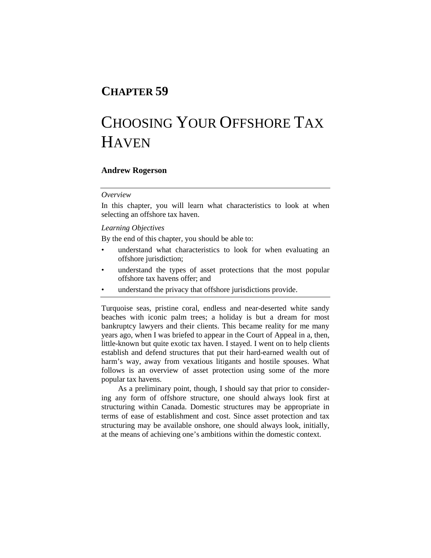## **CHAPTER 59**

# CHOOSING YOUR OFFSHORE TAX **HAVEN**

## **Andrew Rogerson**

## *Overview*

In this chapter, you will learn what characteristics to look at when selecting an offshore tax haven.

## *Learning Objectives*

By the end of this chapter, you should be able to:

- understand what characteristics to look for when evaluating an offshore jurisdiction;
- understand the types of asset protections that the most popular offshore tax havens offer; and
- understand the privacy that offshore jurisdictions provide.

Turquoise seas, pristine coral, endless and near-deserted white sandy beaches with iconic palm trees; a holiday is but a dream for most bankruptcy lawyers and their clients. This became reality for me many years ago, when I was briefed to appear in the Court of Appeal in a, then, little-known but quite exotic tax haven. I stayed. I went on to help clients establish and defend structures that put their hard-earned wealth out of harm's way, away from vexatious litigants and hostile spouses. What follows is an overview of asset protection using some of the more popular tax havens.

As a preliminary point, though, I should say that prior to considering any form of offshore structure, one should always look first at structuring within Canada. Domestic structures may be appropriate in terms of ease of establishment and cost. Since asset protection and tax structuring may be available onshore, one should always look, initially, at the means of achieving one's ambitions within the domestic context.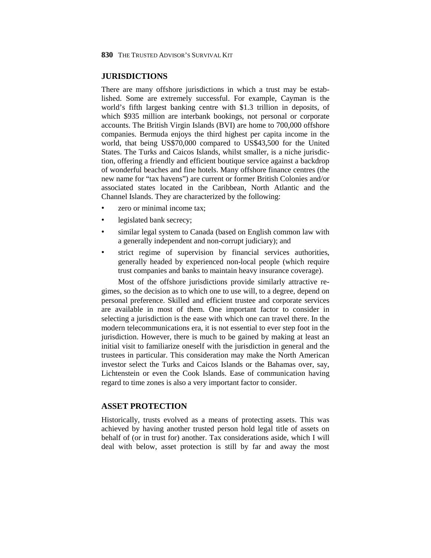**830** THE TRUSTED ADVISOR'S SURVIVAL KIT

## **JURISDICTIONS**

There are many offshore jurisdictions in which a trust may be established. Some are extremely successful. For example, Cayman is the world's fifth largest banking centre with \$1.3 trillion in deposits, of which \$935 million are interbank bookings, not personal or corporate accounts. The British Virgin Islands (BVI) are home to 700,000 offshore companies. Bermuda enjoys the third highest per capita income in the world, that being US\$70,000 compared to US\$43,500 for the United States. The Turks and Caicos Islands, whilst smaller, is a niche jurisdiction, offering a friendly and efficient boutique service against a backdrop of wonderful beaches and fine hotels. Many offshore finance centres (the new name for "tax havens") are current or former British Colonies and/or associated states located in the Caribbean, North Atlantic and the Channel Islands. They are characterized by the following:

- zero or minimal income tax;
- legislated bank secrecy;
- similar legal system to Canada (based on English common law with a generally independent and non-corrupt judiciary); and
- strict regime of supervision by financial services authorities, generally headed by experienced non-local people (which require trust companies and banks to maintain heavy insurance coverage).

Most of the offshore jurisdictions provide similarly attractive regimes, so the decision as to which one to use will, to a degree, depend on personal preference. Skilled and efficient trustee and corporate services are available in most of them. One important factor to consider in selecting a jurisdiction is the ease with which one can travel there. In the modern telecommunications era, it is not essential to ever step foot in the jurisdiction. However, there is much to be gained by making at least an initial visit to familiarize oneself with the jurisdiction in general and the trustees in particular. This consideration may make the North American investor select the Turks and Caicos Islands or the Bahamas over, say, Lichtenstein or even the Cook Islands. Ease of communication having regard to time zones is also a very important factor to consider.

## **ASSET PROTECTION**

Historically, trusts evolved as a means of protecting assets. This was achieved by having another trusted person hold legal title of assets on behalf of (or in trust for) another. Tax considerations aside, which I will deal with below, asset protection is still by far and away the most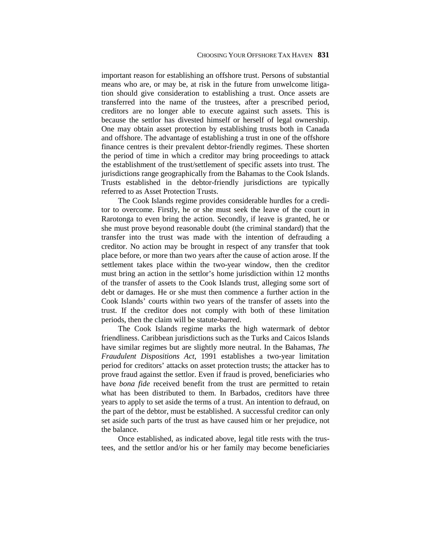important reason for establishing an offshore trust. Persons of substantial means who are, or may be, at risk in the future from unwelcome litigation should give consideration to establishing a trust. Once assets are transferred into the name of the trustees, after a prescribed period, creditors are no longer able to execute against such assets. This is because the settlor has divested himself or herself of legal ownership. One may obtain asset protection by establishing trusts both in Canada and offshore. The advantage of establishing a trust in one of the offshore finance centres is their prevalent debtor-friendly regimes. These shorten the period of time in which a creditor may bring proceedings to attack the establishment of the trust/settlement of specific assets into trust. The jurisdictions range geographically from the Bahamas to the Cook Islands. Trusts established in the debtor-friendly jurisdictions are typically referred to as Asset Protection Trusts.

The Cook Islands regime provides considerable hurdles for a creditor to overcome. Firstly, he or she must seek the leave of the court in Rarotonga to even bring the action. Secondly, if leave is granted, he or she must prove beyond reasonable doubt (the criminal standard) that the transfer into the trust was made with the intention of defrauding a creditor. No action may be brought in respect of any transfer that took place before, or more than two years after the cause of action arose. If the settlement takes place within the two-year window, then the creditor must bring an action in the settlor's home jurisdiction within 12 months of the transfer of assets to the Cook Islands trust, alleging some sort of debt or damages. He or she must then commence a further action in the Cook Islands' courts within two years of the transfer of assets into the trust. If the creditor does not comply with both of these limitation periods, then the claim will be statute-barred.

The Cook Islands regime marks the high watermark of debtor friendliness. Caribbean jurisdictions such as the Turks and Caicos Islands have similar regimes but are slightly more neutral. In the Bahamas, *The Fraudulent Dispositions Act*, 1991 establishes a two-year limitation period for creditors' attacks on asset protection trusts; the attacker has to prove fraud against the settlor. Even if fraud is proved, beneficiaries who have *bona fide* received benefit from the trust are permitted to retain what has been distributed to them. In Barbados, creditors have three years to apply to set aside the terms of a trust. An intention to defraud, on the part of the debtor, must be established. A successful creditor can only set aside such parts of the trust as have caused him or her prejudice, not the balance.

Once established, as indicated above, legal title rests with the trustees, and the settlor and/or his or her family may become beneficiaries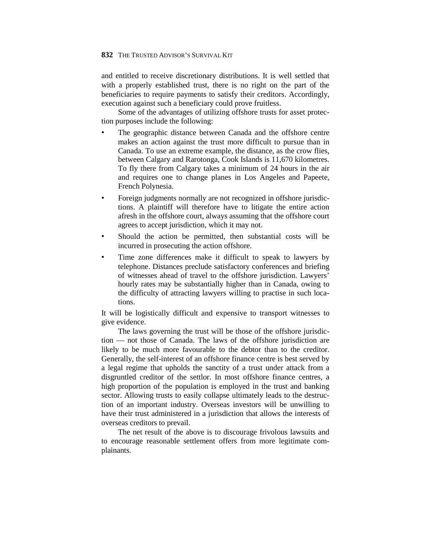#### **832** THE TRUSTED ADVISOR'S SURVIVAL KIT

and entitled to receive discretionary distributions. It is well settled that with a properly established trust, there is no right on the part of the beneficiaries to require payments to satisfy their creditors. Accordingly, execution against such a beneficiary could prove fruitless.

Some of the advantages of utilizing offshore trusts for asset protection purposes include the following:

- The geographic distance between Canada and the offshore centre makes an action against the trust more difficult to pursue than in Canada. To use an extreme example, the distance, as the crow flies, between Calgary and Rarotonga, Cook Islands is 11,670 kilometres. To fly there from Calgary takes a minimum of 24 hours in the air and requires one to change planes in Los Angeles and Papeete, French Polynesia.
- Foreign judgments normally are not recognized in offshore jurisdictions. A plaintiff will therefore have to litigate the entire action afresh in the offshore court, always assuming that the offshore court agrees to accept jurisdiction, which it may not.
- Should the action be permitted, then substantial costs will be incurred in prosecuting the action offshore.
- Time zone differences make it difficult to speak to lawyers by telephone. Distances preclude satisfactory conferences and briefing of witnesses ahead of travel to the offshore jurisdiction. Lawyers' hourly rates may be substantially higher than in Canada, owing to the difficulty of attracting lawyers willing to practise in such locations.

It will be logistically difficult and expensive to transport witnesses to give evidence.

The laws governing the trust will be those of the offshore jurisdiction — not those of Canada. The laws of the offshore jurisdiction are likely to be much more favourable to the debtor than to the creditor. Generally, the self-interest of an offshore finance centre is best served by a legal regime that upholds the sanctity of a trust under attack from a disgruntled creditor of the settlor. In most offshore finance centres, a high proportion of the population is employed in the trust and banking sector. Allowing trusts to easily collapse ultimately leads to the destruction of an important industry. Overseas investors will be unwilling to have their trust administered in a jurisdiction that allows the interests of overseas creditors to prevail.

The net result of the above is to discourage frivolous lawsuits and to encourage reasonable settlement offers from more legitimate complainants.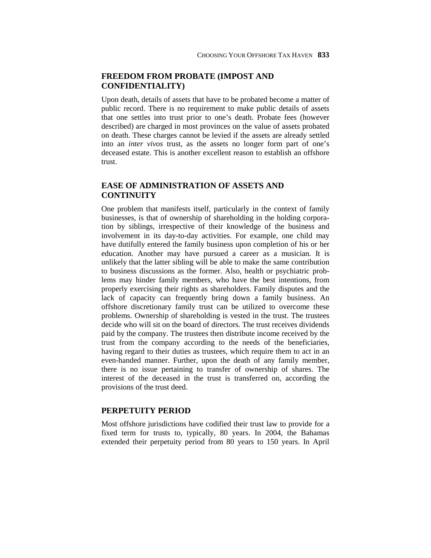## **FREEDOM FROM PROBATE (IMPOST AND CONFIDENTIALITY)**

Upon death, details of assets that have to be probated become a matter of public record. There is no requirement to make public details of assets that one settles into trust prior to one's death. Probate fees (however described) are charged in most provinces on the value of assets probated on death. These charges cannot be levied if the assets are already settled into an *inter vivos* trust, as the assets no longer form part of one's deceased estate. This is another excellent reason to establish an offshore trust.

## **EASE OF ADMINISTRATION OF ASSETS AND CONTINUITY**

One problem that manifests itself, particularly in the context of family businesses, is that of ownership of shareholding in the holding corporation by siblings, irrespective of their knowledge of the business and involvement in its day-to-day activities. For example, one child may have dutifully entered the family business upon completion of his or her education. Another may have pursued a career as a musician. It is unlikely that the latter sibling will be able to make the same contribution to business discussions as the former. Also, health or psychiatric problems may hinder family members, who have the best intentions, from properly exercising their rights as shareholders. Family disputes and the lack of capacity can frequently bring down a family business. An offshore discretionary family trust can be utilized to overcome these problems. Ownership of shareholding is vested in the trust. The trustees decide who will sit on the board of directors. The trust receives dividends paid by the company. The trustees then distribute income received by the trust from the company according to the needs of the beneficiaries, having regard to their duties as trustees, which require them to act in an even-handed manner. Further, upon the death of any family member, there is no issue pertaining to transfer of ownership of shares. The interest of the deceased in the trust is transferred on, according the provisions of the trust deed.

## **PERPETUITY PERIOD**

Most offshore jurisdictions have codified their trust law to provide for a fixed term for trusts to, typically, 80 years. In 2004, the Bahamas extended their perpetuity period from 80 years to 150 years. In April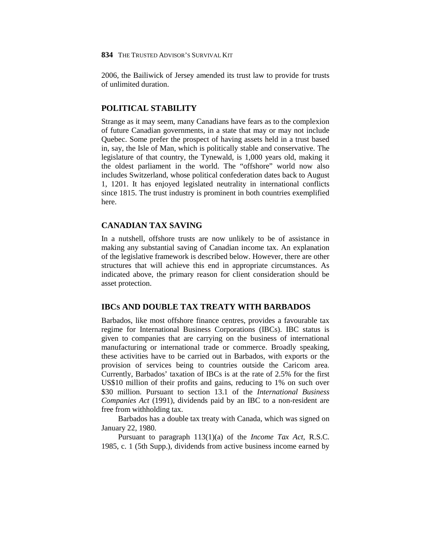2006, the Bailiwick of Jersey amended its trust law to provide for trusts of unlimited duration.

## **POLITICAL STABILITY**

Strange as it may seem, many Canadians have fears as to the complexion of future Canadian governments, in a state that may or may not include Quebec. Some prefer the prospect of having assets held in a trust based in, say, the Isle of Man, which is politically stable and conservative. The legislature of that country, the Tynewald, is 1,000 years old, making it the oldest parliament in the world. The "offshore" world now also includes Switzerland, whose political confederation dates back to August 1, 1201. It has enjoyed legislated neutrality in international conflicts since 1815. The trust industry is prominent in both countries exemplified here.

## **CANADIAN TAX SAVING**

In a nutshell, offshore trusts are now unlikely to be of assistance in making any substantial saving of Canadian income tax. An explanation of the legislative framework is described below. However, there are other structures that will achieve this end in appropriate circumstances. As indicated above, the primary reason for client consideration should be asset protection.

## **IBCS AND DOUBLE TAX TREATY WITH BARBADOS**

Barbados, like most offshore finance centres, provides a favourable tax regime for International Business Corporations (IBCs). IBC status is given to companies that are carrying on the business of international manufacturing or international trade or commerce. Broadly speaking, these activities have to be carried out in Barbados, with exports or the provision of services being to countries outside the Caricom area. Currently, Barbados' taxation of IBCs is at the rate of 2.5% for the first US\$10 million of their profits and gains, reducing to 1% on such over \$30 million. Pursuant to section 13.1 of the *International Business Companies Act* (1991), dividends paid by an IBC to a non-resident are free from withholding tax.

Barbados has a double tax treaty with Canada, which was signed on January 22, 1980.

Pursuant to paragraph 113(1)(a) of the *Income Tax Act*, R.S.C. 1985, c. 1 (5th Supp.), dividends from active business income earned by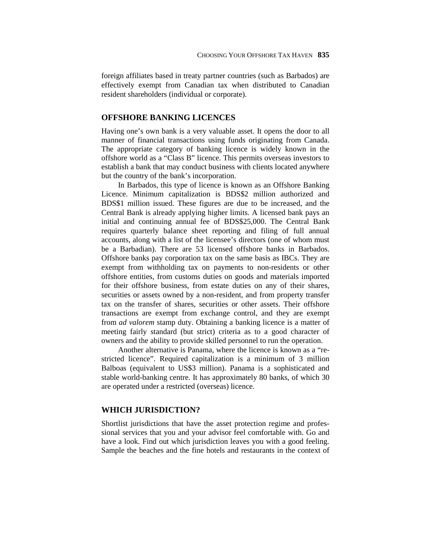foreign affiliates based in treaty partner countries (such as Barbados) are effectively exempt from Canadian tax when distributed to Canadian resident shareholders (individual or corporate).

## **OFFSHORE BANKING LICENCES**

Having one's own bank is a very valuable asset. It opens the door to all manner of financial transactions using funds originating from Canada. The appropriate category of banking licence is widely known in the offshore world as a "Class B" licence. This permits overseas investors to establish a bank that may conduct business with clients located anywhere but the country of the bank's incorporation.

In Barbados, this type of licence is known as an Offshore Banking Licence. Minimum capitalization is BDS\$2 million authorized and BDS\$1 million issued. These figures are due to be increased, and the Central Bank is already applying higher limits. A licensed bank pays an initial and continuing annual fee of BDS\$25,000. The Central Bank requires quarterly balance sheet reporting and filing of full annual accounts, along with a list of the licensee's directors (one of whom must be a Barbadian). There are 53 licensed offshore banks in Barbados. Offshore banks pay corporation tax on the same basis as IBCs. They are exempt from withholding tax on payments to non-residents or other offshore entities, from customs duties on goods and materials imported for their offshore business, from estate duties on any of their shares, securities or assets owned by a non-resident, and from property transfer tax on the transfer of shares, securities or other assets. Their offshore transactions are exempt from exchange control, and they are exempt from *ad valorem* stamp duty. Obtaining a banking licence is a matter of meeting fairly standard (but strict) criteria as to a good character of owners and the ability to provide skilled personnel to run the operation.

Another alternative is Panama, where the licence is known as a "restricted licence". Required capitalization is a minimum of 3 million Balboas (equivalent to US\$3 million). Panama is a sophisticated and stable world-banking centre. It has approximately 80 banks, of which 30 are operated under a restricted (overseas) licence.

## **WHICH JURISDICTION?**

Shortlist jurisdictions that have the asset protection regime and professional services that you and your advisor feel comfortable with. Go and have a look. Find out which jurisdiction leaves you with a good feeling. Sample the beaches and the fine hotels and restaurants in the context of